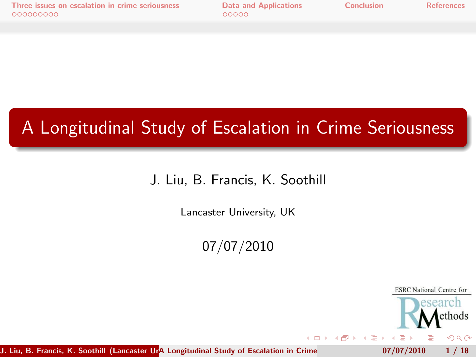# A Longitudinal Study of Escalation in Crime Seriousness

#### J. Liu, B. Francis, K. Soothill

Lancaster University, UK

07/07/2010

 $-10.16$ 

<span id="page-0-0"></span>**ESRC** National Centre for search ethods  $QQ$ 

J. Liu, B. Francis, K. Soothill (Lancaster Una Longitudinal Study of Escalation in Crime  $07/07/2010$  1/18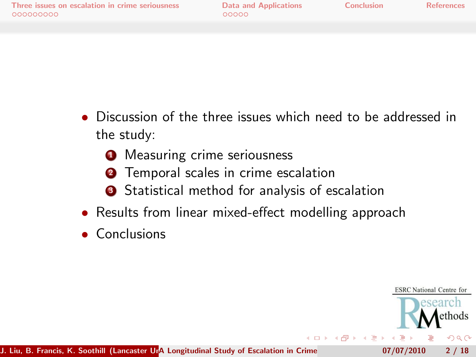- Discussion of the three issues which need to be addressed in the study:
	- **1** Measuring crime seriousness
	- **2** Temporal scales in crime escalation
	- **3** Statistical method for analysis of escalation
- Results from linear mixed-effect modelling approach
- Conclusions

**ESRC** National Centre for search ethods  $QQ$  $-10.16$ J. Liu, B. Francis, K. Soothill (Lancaster Una Longitudinal Study of Escalation in Crime  $07/07/2010$  2 / 18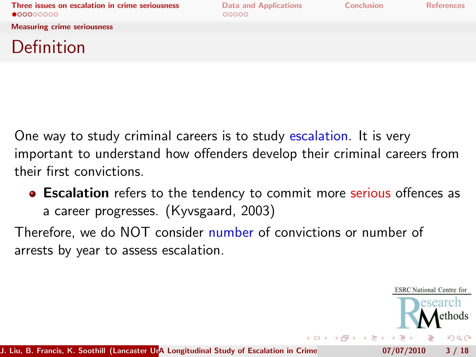<span id="page-2-0"></span>**ESRC** National Centre for esearch

Measuring crime seriousness

### Definition

One way to study criminal careers is to study escalation. It is very important to understand how offenders develop their criminal careers from their first convictions.

**Excalation** refers to the tendency to commit more serious offences as a career progresses. (Kyvsgaard, 2003)

Therefore, we do NOT consider number of convictions or number of arrests by year to assess escalation.

ethods  $QQ$ 4 日下 4 旬 J. Liu, B. Francis, K. Soothill (Lancaster Una Longitudinal Study of Escalation in Crime  $07/07/2010$  3 / 18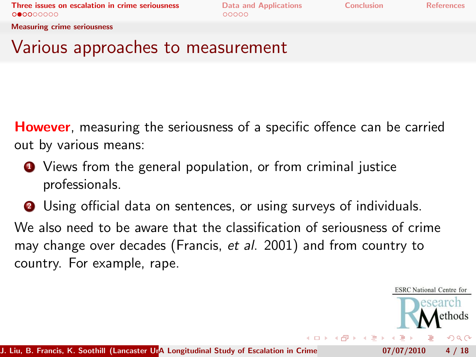**ESRC** National Centre for search ethods つくへ

Measuring crime seriousness

#### Various approaches to measurement

**However**, measuring the seriousness of a specific offence can be carried out by various means:

- **1** Views from the general population, or from criminal justice professionals.
- **2** Using official data on sentences, or using surveys of individuals.

We also need to be aware that the classification of seriousness of crime may change over decades (Francis, et al. 2001) and from country to country. For example, rape.

J. Liu, B. Francis, K. Soothill (Lancaster Una Longitudinal Study of Escalation in Crime  $07/07/2010$  4 / 18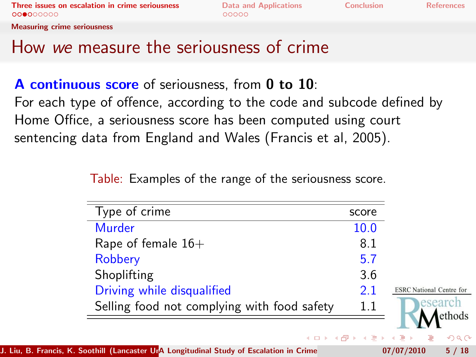Measuring crime seriousness

### How we measure the seriousness of crime

A continuous score of seriousness, from 0 to 10: For each type of offence, according to the code and subcode defined by Home Office, a seriousness score has been computed using court sentencing data from England and Wales (Francis et al, 2005).

Table: Examples of the range of the seriousness score.

| Type of crime                               | score |                                 |
|---------------------------------------------|-------|---------------------------------|
| <b>Murder</b>                               | 10.0  |                                 |
| Rape of female $16+$                        | 8.1   |                                 |
| Robbery                                     | 5.7   |                                 |
| Shoplifting                                 | 3.6   |                                 |
| Driving while disqualified                  | 21    | <b>ESRC</b> National Centre for |
| Selling food not complying with food safety | 1.1   | esearch                         |
|                                             |       | ethods                          |
|                                             |       | イロト (御) イヨト (ヨ) ニヨー のなび         |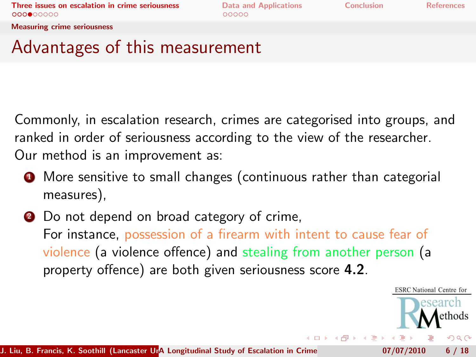Measuring crime seriousness

### Advantages of this measurement

Commonly, in escalation research, crimes are categorised into groups, and ranked in order of seriousness according to the view of the researcher. Our method is an improvement as:

- **1** More sensitive to small changes (continuous rather than categorial measures),
- **2** Do not depend on broad category of crime, For instance, possession of a firearm with intent to cause fear of violence (a violence offence) and stealing from another person (a property offence) are both given seriousness score 4.2.

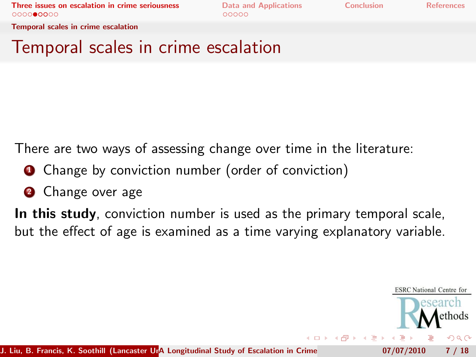Temporal scales in crime escalation

#### Temporal scales in crime escalation

There are two ways of assessing change over time in the literature:

- **1** Change by conviction number (order of conviction)
- **2** Change over age

In this study, conviction number is used as the primary temporal scale, but the effect of age is examined as a time varying explanatory variable.

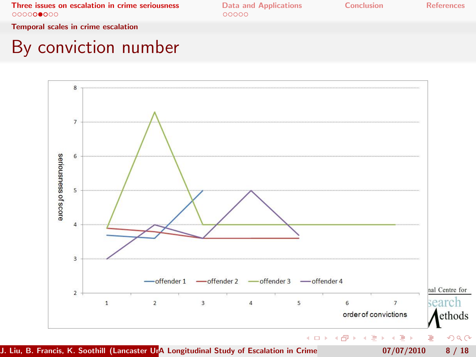Temporal scales in crime escalation

### By conviction number

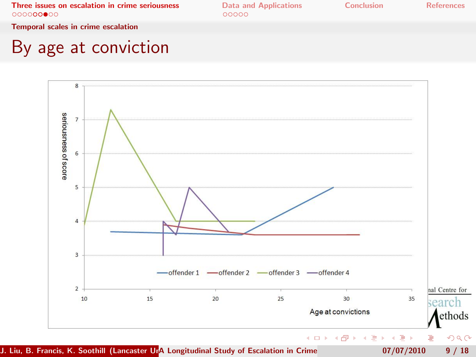Temporal scales in crime escalation

### By age at conviction

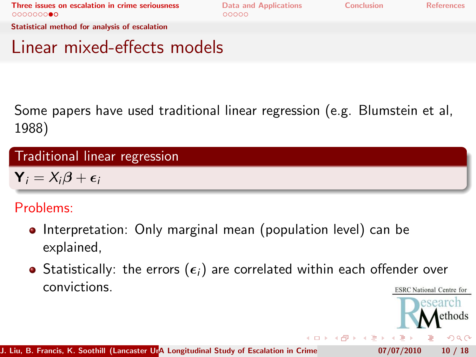esearch ethods  $QQ$ 

Statistical method for analysis of escalation

#### Linear mixed-effects models

Some papers have used traditional linear regression (e.g. Blumstein et al, 1988)

#### Traditional linear regression

 $Y_i = X_i \beta + \epsilon_i$ 

#### Problems:

- Interpretation: Only marginal mean (population level) can be explained,
- Statistically: the errors  $(\epsilon_i)$  are correlated within each offender over convictions. **ESRC** National Centre for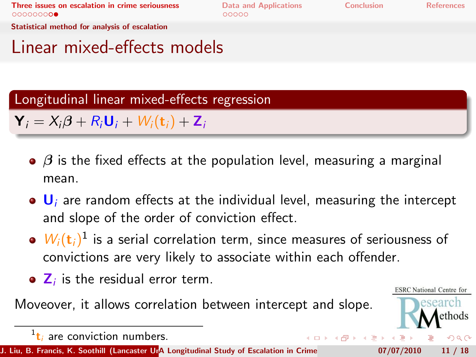(□ ) (伺 ) (∃

**ESRC** National Centre for esearch ethods

 $299$ 

Statistical method for analysis of escalation

### Linear mixed-effects models

Longitudinal linear mixed-effects regression

 $\mathbf{Y}_i = X_i \boldsymbol{\beta} + R_i \mathbf{U}_i + W_i(\mathbf{t}_i) + \mathbf{Z}_i$ 

- $\bullet$   $\beta$  is the fixed effects at the population level, measuring a marginal mean.
- $\bullet$  U<sub>i</sub> are random effects at the individual level, measuring the intercept and slope of the order of conviction effect.
- $W_i(\mathbf{t}_i)^1$  is a serial correlation term, since measures of seriousness of convictions are very likely to associate within each offender.
- $\mathbf{Z}_i$  is the residual error term.

Moveover, it allows correlation between intercept and slope.

 $\frac{1}{t_i}$  are conviction numbers.

J. Liu, B. Francis, K. Soothill (Lancaster UnA Longitudinal Study of Escalation in Crime  $07/07/2010$  11 / 18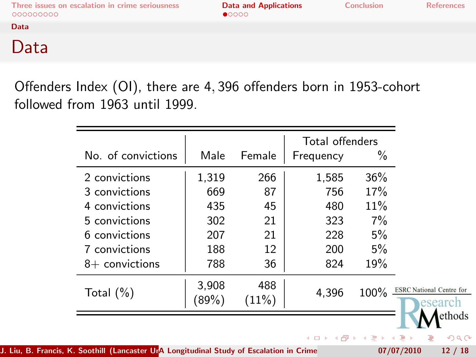Data

#### Data

Offenders Index (OI), there are 4, 396 offenders born in 1953-cohort followed from 1963 until 1999.

| No. of convictions | Male           | Female       | Total offenders<br>Frequency | %     |                                            |
|--------------------|----------------|--------------|------------------------------|-------|--------------------------------------------|
| 2 convictions      | 1,319          | 266          | 1,585                        | 36%   |                                            |
| 3 convictions      | 669            | 87           | 756                          | 17%   |                                            |
| 4 convictions      | 435            | 45           | 480                          | 11%   |                                            |
| 5 convictions      | 302            | 21           | 323                          | $7\%$ |                                            |
| 6 convictions      | 207            | 21           | 228                          | 5%    |                                            |
| 7 convictions      | 188            | 12           | 200                          | 5%    |                                            |
| $8+$ convictions   | 788            | 36           | 824                          | 19%   |                                            |
| Total $(\%)$       | 3,908<br>(89%) | 488<br>(11%) | 4,396                        | 100%  | <b>ESRC</b> National Centre for<br>esearcl |
|                    |                |              |                              |       | ethods                                     |
|                    |                |              | イロト イ母 トイヨ トイヨト              |       | э                                          |

J. Liu, B. Francis, K. Soothill (Lancaster Una Longitudinal Study of Escalation in Crime  $\frac{107}{07/2010}$  12 / 18

<span id="page-11-0"></span>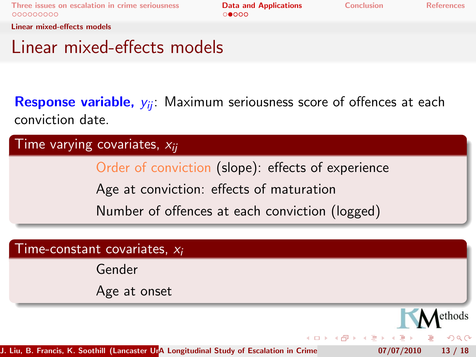[Three issues on escalation in crime seriousness](#page-2-0) **[Data and Applications](#page-11-0)** [Conclusion](#page-16-0) [References](#page-17-0)<br> **Concerned Conclusion** Conclusion Conclusion

Linear mixed-effects models

### Linear mixed-effects models

Response variable,  $y_{ij}$ : Maximum seriousness score of offences at each conviction date.

Time varying covariates,  $x_{ii}$ 

Order of conviction (slope): effects of experience

Age at conviction: effects of maturation

Number of offences at each conviction (logged)

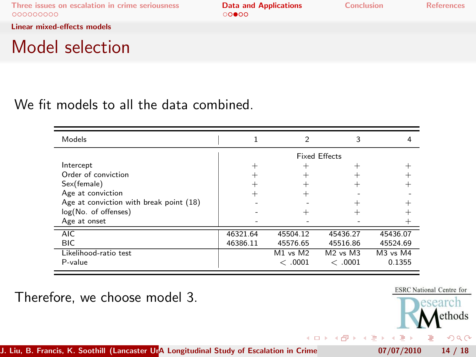**←ロト ← イロ** 

э

Linear mixed-effects models

#### Model selection

#### We fit models to all the data combined.

| Models                                  |                      |          |                                  |              |  |
|-----------------------------------------|----------------------|----------|----------------------------------|--------------|--|
|                                         | <b>Fixed Effects</b> |          |                                  |              |  |
| Intercept                               |                      |          |                                  |              |  |
| Order of conviction                     |                      |          |                                  |              |  |
| Sex(female)                             |                      |          |                                  |              |  |
| Age at conviction                       |                      |          |                                  |              |  |
| Age at conviction with break point (18) |                      |          |                                  |              |  |
| log(No. of offenses)                    |                      |          |                                  |              |  |
| Age at onset                            |                      |          |                                  |              |  |
| AIC.                                    | 46321.64             | 45504.12 | 45436.27                         | 45436.07     |  |
| <b>BIC</b>                              | 46386.11             | 45576.65 | 45516.86                         | 45524.69     |  |
| Likelihood-ratio test                   |                      | M1 vs M2 | M <sub>2</sub> vs M <sub>3</sub> | $M3$ vs $M4$ |  |
| P-value                                 |                      | <.0001   | <.0001                           | 0.1355       |  |

Therefore, we choose model 3.



J. Liu, B. Francis, K. Soothill (Lancaster Una Longitudinal Study of Escalation in Crime  $07/07/2010$  14 / 18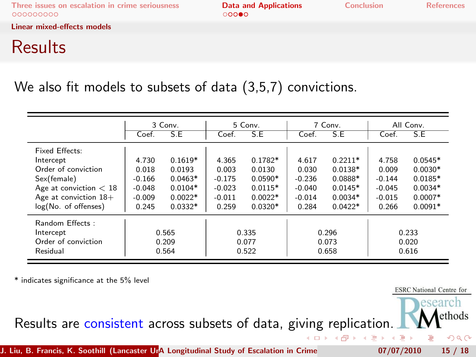[Three issues on escalation in crime seriousness](#page-2-0) **[Data and Applications](#page-11-0)** [Conclusion](#page-16-0) [References](#page-17-0)<br>  $\begin{array}{ccc}\n\text{OOOOOOO} & \text{OOO} \\
\text{OOOOO} & \text{OOO} \\
\end{array}$ 

Linear mixed-effects models

## **Results**

#### We also fit models to subsets of data (3,5,7) convictions.

|                          | 3 Conv.  |           | 5 Conv.  |           | 7 Conv.  |           | All Conv. |           |
|--------------------------|----------|-----------|----------|-----------|----------|-----------|-----------|-----------|
|                          | Coef.    | S.E       | Coef.    | S.E       | Coef.    | S.E       | Coef.     | S.E       |
| Fixed Effects:           |          |           |          |           |          |           |           |           |
| Intercept                | 4.730    | $0.1619*$ | 4.365    | $0.1782*$ | 4.617    | $0.2211*$ | 4.758     | $0.0545*$ |
| Order of conviction      | 0.018    | 0.0193    | 0.003    | 0.0130    | 0.030    | $0.0138*$ | 0.009     | $0.0030*$ |
| Sex(female)              | $-0.166$ | $0.0463*$ | $-0.175$ | $0.0590*$ | $-0.236$ | $0.0888*$ | $-0.144$  | $0.0185*$ |
| Age at conviction $< 18$ | $-0.048$ | $0.0104*$ | $-0.023$ | $0.0115*$ | $-0.040$ | $0.0145*$ | $-0.045$  | $0.0034*$ |
| Age at conviction $18+$  | $-0.009$ | $0.0022*$ | $-0.011$ | $0.0022*$ | $-0.014$ | $0.0034*$ | $-0.015$  | $0.0007*$ |
| log(No. of offenses)     | 0.245    | $0.0332*$ | 0.259    | $0.0320*$ | 0.284    | $0.0422*$ | 0.266     | $0.0091*$ |
| Random Effects:          |          |           |          |           |          |           |           |           |
| Intercept                |          | 0.565     | 0.335    |           | 0.296    |           | 0.233     |           |
| Order of conviction      | 0.209    |           | 0.077    |           | 0.073    |           | 0.020     |           |
| Residual                 | 0.564    |           | 0.522    |           | 0.658    |           | 0.616     |           |

\* indicates significance at the 5% level

**ESRC** National Centre for esearch

> **A**ethods  $2Q$



J. Liu, B. Francis, K. Soothill (Lancaster Una Longitudinal Study of Escalation in Crime  $07/07/2010$  15 / 18

4 重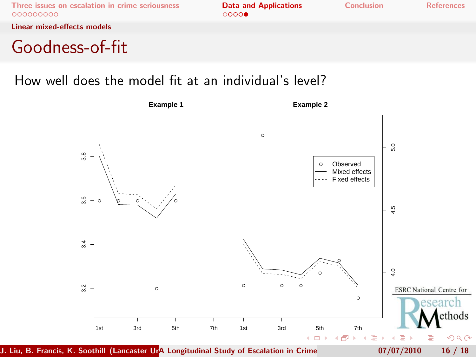Linear mixed-effects models

### Goodness-of-fit

#### How well does the model fit at an individual's level?



J. Liu, B. Francis, K. Soothill (Lancaster Una Longitudinal Study of Escalation in Crime  $07/07/2010$  16 / 18

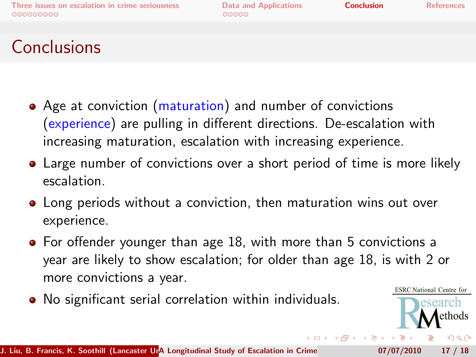<span id="page-16-0"></span>esearch ethods つくい

# Conclusions

- Age at conviction (maturation) and number of convictions (experience) are pulling in different directions. De-escalation with increasing maturation, escalation with increasing experience.
- Large number of convictions over a short period of time is more likely escalation.
- Long periods without a conviction, then maturation wins out over experience.
- For offender younger than age 18, with more than 5 convictions a year are likely to show escalation; for older than age 18, is with 2 or more convictions a year. **ESRC** National Centre for
- No significant serial correlation within individuals.